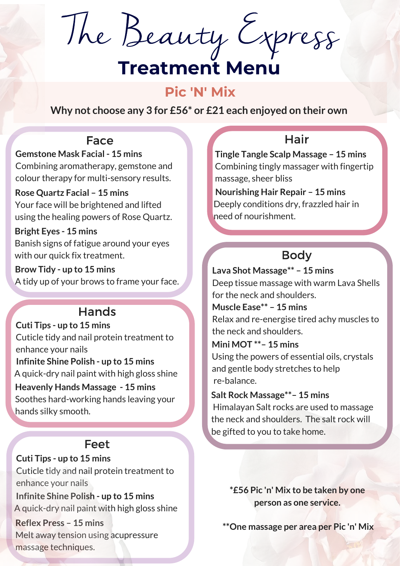The Beauty Express

# **Treatment Menu**

#### **Pic 'N' Mix**

**Why not choose any 3 for £56\* or £21 each enjoyed on their own**

#### Face

**Gemstone Mask Facial - 15 mins**  Combining aromatherapy, gemstone and colour therapy for multi-sensory results.

**Rose Quartz Facial – 15 mins**  Your face will be brightened and lifted using the healing powers of Rose Quartz.

**Bright Eyes - 15 mins** Banish signs of fatigue around your eyes with our quick fix treatment.

**Brow Tidy - up to 15 mins** A tidy up of your brows to frame your face.

## Hands

**Cuti Tips - up to 15 mins** Cuticle tidy and nail protein treatment to enhance your nails  **Infinite Shine Polish - up to 15 mins** A quick-dry nail paint with high gloss shine re-balance. **Heavenly Hands Massage - 15 mins** Soothes hard-working hands leaving your hands silky smooth.

### Feet

**Cuti Tips - up to 15 mins** Cuticle tidy and nail protein treatment to enhance your nails

 **Infinite Shine Polish - up to 15 mins** A quick-dry nail paint with high gloss shine

**Reflex Press – 15 mins**  Melt away tension using acupressure massage techniques.

## Hair

**Tingle Tangle Scalp Massage – 15 mins** Combining tingly massager with fingertip massage, sheer bliss

 **Nourishing Hair Repair – 15 mins** Deeply conditions dry, frazzled hair in need of nourishment.

## Body

**Lava Shot Massage\*\* – 15 mins**  Deep tissue massage with warm Lava Shells for the neck and shoulders.

**Muscle Ease\*\* – 15 mins**  Relax and re-energise tired achy muscles to the neck and shoulders.

**Mini MOT \*\*– 15 mins** 

Using the powers of essential oils, crystals and gentle body stretches to help

**Salt Rock Massage\*\*– 15 mins**  Himalayan Salt rocks are used to massage the neck and shoulders. The salt rock will be gifted to you to take home.

> **\*£56 Pic 'n' Mix to be taken by one person as one service.**

 **\*\*One massage per area per Pic 'n' Mix**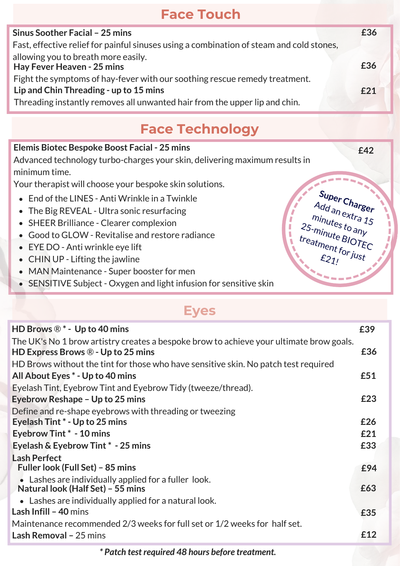## **Face Touch**

| Sinus Soother Facial - 25 mins                                                           | £36 |  |
|------------------------------------------------------------------------------------------|-----|--|
| Fast, effective relief for painful sinuses using a combination of steam and cold stones, |     |  |
| allowing you to breath more easily.<br>Hay Fever Heaven - 25 mins                        | £36 |  |
| Fight the symptoms of hay-fever with our soothing rescue remedy treatment.               |     |  |
| Lip and Chin Threading - up to 15 mins                                                   | £21 |  |
| Threading instantly removes all unwanted hair from the upper lip and chin.               |     |  |
|                                                                                          |     |  |

## **Face Technology**

**£42**

**Super Charger**  Add an extra 15 minutes to any 25-minute BIOTEC

treatment for just

#### **Elemis Biotec Bespoke Boost Facial - 25 mins**

Advanced technology turbo-charges your skin, delivering maximum results in minimum time.

Your therapist will choose your bespoke skin solutions.

- End of the LINES Anti Wrinkle in a Twinkle
- The Big REVEAL Ultra sonic resurfacing
- SHEER Brilliance Clearer complexion
- Good to GLOW Revitalise and restore radiance
- EYE DO Anti wrinkle eye lift
- CHIN UP Lifting the jawline
- MAN Maintenance Super booster for men
- SENSITIVE Subject Oxygen and light infusion for sensitive skin

### **Eyes**

| HD Brows $\mathbb{R}^*$ - Up to 40 mins                                                 | £39 |
|-----------------------------------------------------------------------------------------|-----|
| The UK's No 1 brow artistry creates a bespoke brow to achieve your ultimate brow goals. |     |
| HD Express Brows $\mathbb{R}$ - Up to 25 mins                                           | £36 |
| HD Brows without the tint for those who have sensitive skin. No patch test required     |     |
| All About Eyes * - Up to 40 mins                                                        | £51 |
| Eyelash Tint, Eyebrow Tint and Eyebrow Tidy (tweeze/thread).                            |     |
| Eyebrow Reshape - Up to 25 mins                                                         | £23 |
| Define and re-shape eyebrows with threading or tweezing                                 |     |
| Eyelash Tint * - Up to 25 mins                                                          | £26 |
| Eyebrow Tint * - 10 mins                                                                | £21 |
| Eyelash & Eyebrow Tint * - 25 mins                                                      | £33 |
| <b>Lash Perfect</b>                                                                     |     |
| Fuller look (Full Set) - 85 mins                                                        | £94 |
| Lashes are individually applied for a fuller look.<br>Natural look (Half Set) - 55 mins | £63 |
| • Lashes are individually applied for a natural look.                                   |     |
| Lash Infill - 40 mins                                                                   | £35 |
| Maintenance recommended 2/3 weeks for full set or 1/2 weeks for half set.               |     |
| Lash Removal - 25 mins                                                                  | £12 |
|                                                                                         |     |

*\* Patch test required 48 hours before treatment.*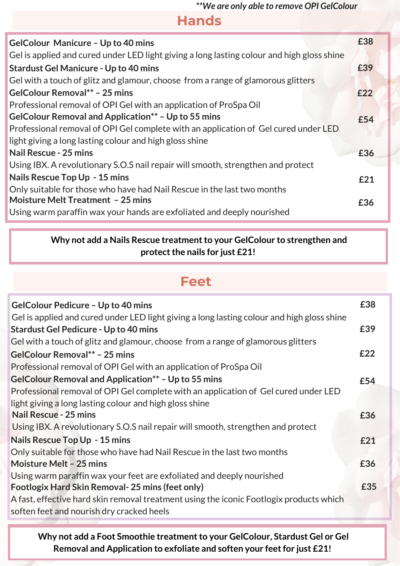*\*\*We are only able to remove OPI GelColour*

**Hands**

| <b>GelColour Manicure - Up to 40 mins</b>                                                  | £38 |
|--------------------------------------------------------------------------------------------|-----|
| Gel is applied and cured under LED light giving a long lasting colour and high gloss shine |     |
| <b>Stardust Gel Manicure - Up to 40 mins</b>                                               | £39 |
| Gel with a touch of glitz and glamour, choose from a range of glamorous glitters           |     |
| GelColour Removal** - 25 mins                                                              | E22 |
| Professional removal of OPI Gel with an application of ProSpa Oil                          |     |
| GelColour Removal and Application** - Up to 55 mins                                        | £54 |
| Professional removal of OPI Gel complete with an application of Gel cured under LED        |     |
| light giving a long lasting colour and high gloss shine                                    |     |
| <b>Nail Rescue - 25 mins</b>                                                               | £36 |
| Using IBX. A revolutionary S.O.S nail repair will smooth, strengthen and protect           |     |
| Nails Rescue Top Up - 15 mins                                                              | £21 |
| Only suitable for those who have had Nail Rescue in the last two months                    |     |
| <b>Moisture Melt Treatment - 25 mins</b>                                                   | £36 |
| Using warm paraffin wax your hands are exfoliated and deeply nourished                     |     |
|                                                                                            |     |

#### **Why not add a Nails Rescue treatment to your GelColour to strengthen and protect the nails for just £21!**

#### **Feet**

| <b>GelColour Pedicure - Up to 40 mins</b>                                                  | £38 |
|--------------------------------------------------------------------------------------------|-----|
| Gel is applied and cured under LED light giving a long lasting colour and high gloss shine |     |
| <b>Stardust Gel Pedicure - Up to 40 mins</b>                                               | £39 |
| Gel with a touch of glitz and glamour, choose from a range of glamorous glitters           |     |
| GelColour Removal** - 25 mins                                                              | £22 |
| Professional removal of OPI Gel with an application of ProSpa Oil                          |     |
| GelColour Removal and Application** - Up to 55 mins                                        | £54 |
| Professional removal of OPI Gel complete with an application of Gel cured under LED        |     |
| light giving a long lasting colour and high gloss shine                                    |     |
| <b>Nail Rescue - 25 mins</b>                                                               | £36 |
| Using IBX. A revolutionary S.O.S nail repair will smooth, strengthen and protect           |     |
| <b>Nails Rescue Top Up - 15 mins</b>                                                       | £21 |
| Only suitable for those who have had Nail Rescue in the last two months                    |     |
| Moisture Melt - 25 mins                                                                    | £36 |
| Using warm paraffin wax your feet are exfoliated and deeply nourished                      |     |
| <b>Footlogix Hard Skin Removal-25 mins (feet only)</b>                                     | £35 |
| A fast, effective hard skin removal treatment using the iconic Footlogix products which    |     |
| soften feet and nourish dry cracked heels                                                  |     |
|                                                                                            |     |

 **Why not add a Foot Smoothie treatment to your GelColour, Stardust Gel or Gel Removal and Application to exfoliate and soften your feet for just £21!**